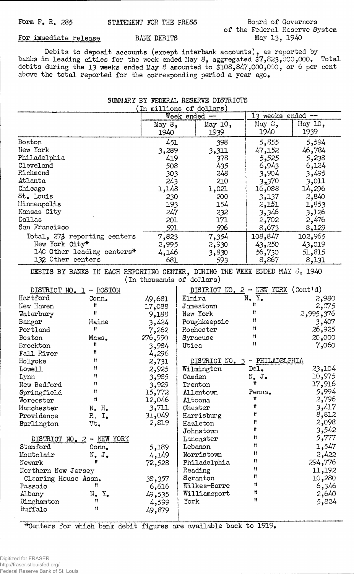## of the Federal Reserve System<br>May 13, 1940

For immediate release BANK DEBITS

**Debits to deposit accounts (except interbank accounts), as reported by banks in leading cities for the week ended May 8, aggregated \$7,82.3>000,000. Total debits during the** 13 **weeks ended May 8 amounted to \$108,847,000,000, or 6 per cent above the total reported for the corresponding period a year ago.**

|  | SUMMARY BY FEDERAL RESERVE DISTRICTS |  |  |
|--|--------------------------------------|--|--|
|  | (In millions of dollars)             |  |  |

|                                                                                                          |                              | Week ended        |                  | 13 weeks ended $-$ |                                      |                 |
|----------------------------------------------------------------------------------------------------------|------------------------------|-------------------|------------------|--------------------|--------------------------------------|-----------------|
|                                                                                                          |                              | May $3$ ,<br>1940 |                  | May 10,<br>1939    | May 8,<br>1940                       | May 10,<br>1939 |
| Boston                                                                                                   |                              | 451               |                  | 398                | 5,855                                | 5,594           |
| New York                                                                                                 |                              | 3,289             |                  | 3,311              | 47,152                               | 46,784          |
| Philadelphia                                                                                             |                              | 419               |                  | 378                | 5,525                                | 5,238           |
| Cleveland                                                                                                |                              | 508               |                  | 435                | 6,943                                | 6,124           |
| Richmond                                                                                                 |                              | 303               |                  | 248                | 3,904                                | 3,495           |
| Atlanta                                                                                                  |                              | 243               |                  | 210                | 3,370                                | 3,011           |
| Chicago                                                                                                  |                              | 1,148             |                  | 1,021              | 16,088                               | 14,296          |
| St. Louis                                                                                                |                              | 230               |                  | 200                | 3,137                                | 2,840           |
| Minneapolis                                                                                              |                              | 193               |                  | 154                | 2,151                                | 1,853           |
| Kansas City                                                                                              |                              | 247               |                  | 232                | 3,346                                | 3,126           |
| Dallas                                                                                                   |                              | 201               |                  | 171                | 2,702                                | 2,476           |
| San Francisco                                                                                            |                              | 591               |                  | 596                | <u>8,673</u>                         | 8,129           |
|                                                                                                          | Total, 273 reporting centers | 7,823             |                  | 7,354              | 108,847                              | 102,965         |
| New York City*                                                                                           |                              | 2,995             |                  | 2,930              | 43,250                               | 43,019          |
|                                                                                                          | 140 Other leading centers*   |                   | 4,146<br>3,830   |                    | 56,730                               | 51,815          |
| 132 Other centers                                                                                        |                              | 681               |                  | 593                | 8,867                                | 8,131           |
| DEBITS BY BANKS IN EACH REPORTING CENTER, DURING THE WEEK ENDED MAY 6, 1940<br>(In thousands of dollars) |                              |                   |                  |                    |                                      |                 |
| DISTRICT NO. 1 - BOSTON                                                                                  |                              |                   |                  |                    | DISTRICT NO. $2$ - NEW YORK (Cont'd) |                 |
| Hartford                                                                                                 | Conn.                        | 49,681            | Elmira           |                    | $N_{\bullet}$ $Y_{\bullet}$          | 2,980           |
| New Haven                                                                                                | Ħ                            | 17,088            | Jamestown        |                    | Ħ                                    | 2,875           |
| Waterbury                                                                                                | Ħ                            | 9,188             | New York         |                    | Ħ                                    | 2,995,376       |
| Bangor                                                                                                   | Maine                        | 3,424             | Poughkeepsie     |                    | Ħ                                    | 3,407           |
| Portland                                                                                                 | 11                           | 7,262             | Rochester        |                    | Ħ                                    | 26,925          |
| Boston                                                                                                   | Mass.                        | 276,990           | Syracuse         |                    | Ħ                                    | 20,000          |
| Brockton                                                                                                 | Ħ                            | 3,984             | Utica            |                    | Ħ                                    | 7,060           |
| Fall River                                                                                               | 11                           | 4,296             |                  |                    |                                      |                 |
| Holyoke                                                                                                  | Ħ                            | 2,731             |                  | DISTRICT NO. 3     | $-$ PHILADELPHIA                     |                 |
| Lowell                                                                                                   | Ħ                            | 2,925             | Wilmington       |                    | De1.                                 | 23,104          |
| Lynn                                                                                                     | Ħ                            | 3,985             | Camden           |                    | $N_{\bullet}$ J.                     | 10,975          |
| New Bedford                                                                                              | Ħ                            | 3,929             | Trenton          |                    | Ħ                                    | 17,916          |
| Springfield                                                                                              | Ħ                            | 15,772            | <b>Allentown</b> |                    | Penna.                               | 5,994           |
| Worcester                                                                                                | Ħ                            | 12,046            | Altoona          |                    | 11                                   | 2,796           |
| Manchester                                                                                               | N. H.                        | 3,711             | Chester          |                    | Ħ                                    | 3,417           |
| Providence                                                                                               | R. I.                        | 31,049            | Harrisburg       |                    | 11                                   | 8,812           |
| Burlington                                                                                               | Vt.                          | 2,819             | Hazleton         |                    | n                                    | 2,098           |
|                                                                                                          |                              |                   | Johnstown        |                    | n                                    | 3,542           |
|                                                                                                          | DISTRICT NO. 2 - NEW YORK    |                   | Lancaster        |                    | 11                                   | 5,777           |
| Stamford                                                                                                 | Conn.                        | 5,189             | Lebanon          |                    | 11                                   | 1,547           |
| Montclair                                                                                                | $N_{\bullet}$ $J_{\bullet}$  | 4,149             | Norristown       |                    | 11                                   | 2,422           |
| Newark                                                                                                   | Ħ                            | 72,528            | Philadelphia     |                    | 11                                   | 294,776         |
| Northern New Jersey                                                                                      |                              |                   | Reading          |                    | Ħ                                    | 11,192          |
| Clearing House Assn.                                                                                     |                              | 38,357            | Scranton         |                    | Ħ                                    | 10,280          |
| Passaic                                                                                                  | Ħ                            | 6,616             | Wilkes-Barre     |                    | Ħ                                    | 6,346           |
| Albany                                                                                                   | $N_{\bullet}$ $Y_{\bullet}$  | 49,535            | Williamsport     |                    | Ħ<br>11                              | 2,640           |
| Binghamton                                                                                               | Ħ                            | 4,599             | York             |                    |                                      | 5,824           |
| Buffalo                                                                                                  | 11                           | 49,879            |                  |                    |                                      |                 |

\*Centers for which bank debit figures are available back to 1919.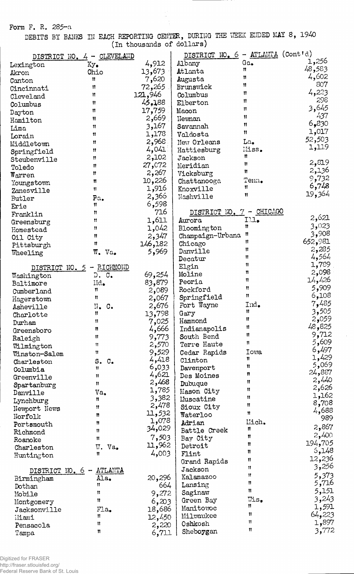Form F. R. 285-a

DEBITS BY BANKS IN EACH REPORTING CENTER, DURING THE WEEK ENDED MAY 8, (In thousands of dollars) 1940

|                              | DISTRICT NO. 4 - CLEVELAND          |                | DISTRICT NO. 6 - ATLANTA (Cont'd) |              |                 |
|------------------------------|-------------------------------------|----------------|-----------------------------------|--------------|-----------------|
| Lexington                    | $xy_{\bullet}$                      | 4,912          | <b>Albany</b>                     | Ga.          | 1,256           |
| Akron                        | Ohio                                | 13,673         | Atlanta                           | Ħ            | 48,583          |
| Canton                       | Ħ                                   | 7,620          | Augusta                           | Ħ            | 4,602           |
| Cincinnati                   | $^{\bullet}$                        | 72,265         | Brunswick                         | Ħ            | 807             |
| Cleveland                    | n                                   | 121,946        | Columbus                          | 11           | 4,223           |
| Columbus                     | 11                                  | 45,188         | Elberton                          | 11           | 298             |
| Dayton                       | Ħ                                   | 17,759         | Macon                             | Ħ            | 3,645           |
| Hamilton                     | Ħ                                   | 2,669          | Newnan                            | Ħ            | 437             |
| Lima                         | Ħ                                   | 3,167          | Savannah                          | $^{\bullet}$ | 6,830           |
| Lorain                       | 11                                  | 1,178          | Valdosta                          | $^{\bullet}$ | 1,017           |
| Middletown                   | Ħ                                   | 2,968          | New Orleans                       | La.          | 52,503          |
| Springfield                  | Ħ                                   | 4,041          | Hattiesburg                       | Miss.        | 1,119           |
| Steubenville                 | Ħ                                   | 2,102          | Jackson                           | n            |                 |
| Toledo                       | 11                                  | 27,072         | Meridian                          | Ħ            | 2,819           |
| $\texttt{W}$ arren           | Ħ                                   | 2,267          | Vicksburg                         | Ħ            | 2,136<br>9,732  |
| Youngstown                   | Ħ                                   | 10,226         | Chattanooga                       | Tenn.        | 6,748           |
| Zanesville                   | n                                   | 1,916          | Knoxville                         | Ħ            | 19,364          |
| Butler                       | Pa.                                 | 2,366          | Nashville                         | 11           |                 |
| Erie                         | 11                                  | 6,598          |                                   |              |                 |
| Franklin                     | Ħ                                   | 716            | DISTRICT NO. 7 - CHICAGO          |              | 2,621           |
| Greensburg                   | Ħ                                   | 1,611          | Aurora                            | I.1.<br>Ħ    | 3,023           |
| Homestead                    | Ħ                                   | 1,042          | Bloomington                       | Ħ            | 3,908           |
| Oil City                     | Ħ                                   | 2,347          | Champaign-Urbana                  | Ħ            | 652,981         |
| Pittsburgh                   | n                                   | 146,182        | Chicago                           | Ħ            | 2,285           |
| Wheeling                     | $W_{\bullet}$ Va.                   | 5,969          | Danville<br>Decatur               | Ħ            | 4,564           |
|                              |                                     |                | Elgin                             | Ħ            | 1,789           |
| DISTRICT NO. 5               | - RICHMOND<br>D. C.                 | 69,254         | Moline                            | π            | 2,098           |
| Washington<br>Baltimore      | $Md_{\bullet}$                      | 83,879         | Peoria                            | 11           | 14,426          |
| Cumberland                   | Ħ                                   | 2,089          | Rockford                          | 11           | 5,909           |
| Hagerstown                   | Ħ                                   | 2,067          | Springfield                       | n            | 6,108           |
| Asheville                    | IJ.<br>$\mathbf{C}$ .               | 2,676          | Fort Wayne                        | Ind.         | 7,485           |
| Charlotte                    | Ħ                                   | 13,798         | Gary                              | Ħ            | 3,505           |
| Durham                       | Ħ                                   | 7,025          | Hammond                           | 11           | 2,059           |
| Greensboro                   | n                                   | 4,666          | Indianapolis                      | Ħ            | 48,825          |
| Raleigh                      | П                                   | 9,773          | South Bend                        | Ħ            | 9,712           |
| Wilmington                   | Ħ                                   | 2,570          | Terre Haute                       | n            | 5,609           |
| Winston-Salem                | Ħ                                   | 9,529          | Cedar Rapids                      | <b>Towa</b>  | 6,497           |
| Charleston                   | s.<br>$\mathbb{C}_{\bullet}$        | 4,418          | Clinton                           | Ħ            | 1,429           |
| Columbia                     | Ħ                                   | 6,033          | Davenport                         | Ħ            | 5,069<br>24,887 |
| Greenville                   | Ħ                                   | 4,621          | Des Moines                        | n            | 2,440           |
| Spartanburg                  | 11                                  | 2,468          | Dubuque                           | Ħ            | 2,626           |
| Danville                     | Va.                                 | 1,785          | Mason City                        | Ħ<br>Ħ       | 1,162           |
| Lynchburg                    | n                                   | 3,382<br>2,478 | Muscatine                         | n            | 8,708           |
| Newport News                 | Ħ                                   | 11,532         | Sioux City                        | 11           | 4,688           |
| Norfolk                      | n                                   | 1,078          | Waterloo                          | liich.       | 989             |
| Portsmouth                   | Ħ                                   | 34,029         | Adrian                            | Ħ            | 2,867           |
| Richmond                     | Ħ<br>11                             | 7,503          | Battle Creek<br>Bay City          | Ħ            | 2,400           |
| Roanoke                      |                                     | 11,962         | Detroit                           | Ħ            | 194,705         |
| Charleston                   | Π.<br>Va.<br>Ħ                      | 4,003          | Flint                             | Ħ            | 5,148           |
| Huntington                   |                                     |                | Grand Rapids                      | 11           | 12,236          |
|                              | ATLANTA<br>$\overline{\phantom{a}}$ |                | Jackson                           | Ħ            | 3,256           |
| DISTRICT NO. 6<br>Birmingham | Ala.                                | 20,296         | Kalamazoo                         | 11           | 5,373           |
| Dothan                       | Ħ                                   | 664            | Lansing                           | Ħ            | 5,716           |
| Mobile                       | n                                   | 9,272          | Saginaw                           | Ħ            | 5,151           |
| Montgomery                   | Ħ                                   | 6,203          | Green Bay                         | $W_1$ s.     | 3,243           |
| Jacksonville                 | FLa.                                | 18,686         | Manitowoc                         | 11.          | 1,591           |
| iliami                       | n                                   | 12,450         | Milwaukee                         | Ħ            | 64,223          |
| Pensacola                    | Ħ                                   | 2,220          | Oshkosh                           | Ħ            | 1,897           |
| Tampa                        | n                                   | 6,711          | Sheboygan                         | Ħ            | 3,772           |

 $\mathcal{A}$